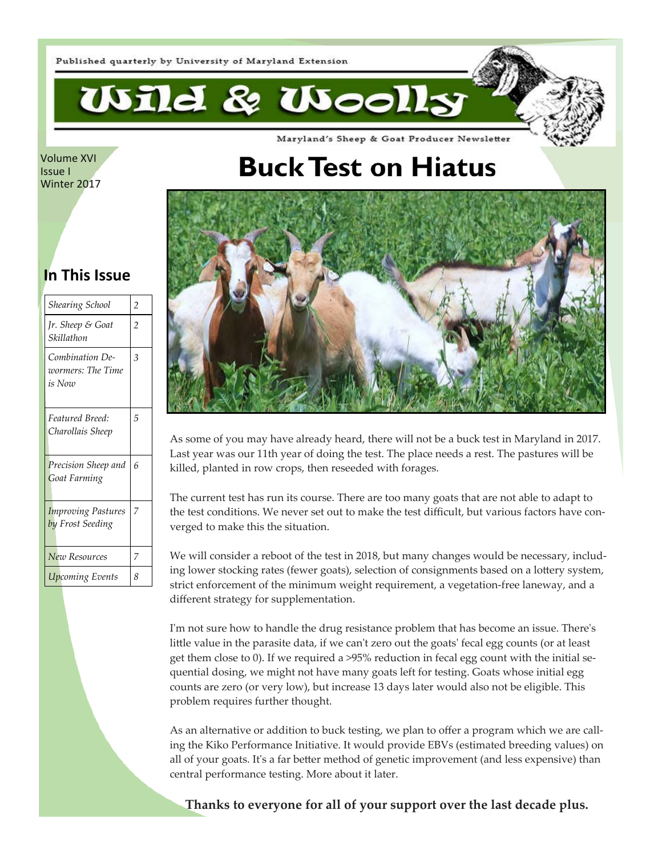

Volume XVI Issue I Winter 2017

# **Buck Test on Hiatus**

Maryland's Sheep & Goat Producer Newsletter



As some of you may have already heard, there will not be a buck test in Maryland in 2017. Last year was our 11th year of doing the test. The place needs a rest. The pastures will be killed, planted in row crops, then reseeded with forages.

The current test has run its course. There are too many goats that are not able to adapt to the test conditions. We never set out to make the test difficult, but various factors have converged to make this the situation.

We will consider a reboot of the test in 2018, but many changes would be necessary, including lower stocking rates (fewer goats), selection of consignments based on a lottery system, strict enforcement of the minimum weight requirement, a vegetation-free laneway, and a different strategy for supplementation.

I'm not sure how to handle the drug resistance problem that has become an issue. There's little value in the parasite data, if we can't zero out the goats' fecal egg counts (or at least get them close to 0). If we required a >95% reduction in fecal egg count with the initial sequential dosing, we might not have many goats left for testing. Goats whose initial egg counts are zero (or very low), but increase 13 days later would also not be eligible. This problem requires further thought.

As an alternative or addition to buck testing, we plan to offer a program which we are calling the Kiko Performance Initiative. It would provide EBVs (estimated breeding values) on all of your goats. It's a far better method of genetic improvement (and less expensive) than central performance testing. More about it later.

**Thanks to everyone for all of your support over the last decade plus.** 

### **In This Issue**

| Shearing School                                | $\overline{c}$ |
|------------------------------------------------|----------------|
| Jr. Sheep & Goat<br>Skillathon                 | $\overline{2}$ |
| Combination De-<br>wormers: The Time<br>is Now | 3              |
| Featured Breed:<br>Charollais Sheep            | 5              |
| Precision Sheep and<br><b>Goat Farming</b>     | 6              |
| <b>Improving Pastures</b><br>by Frost Seeding  | 7              |
| New Resources                                  | 7              |
| <b>Upcoming Events</b>                         | 8              |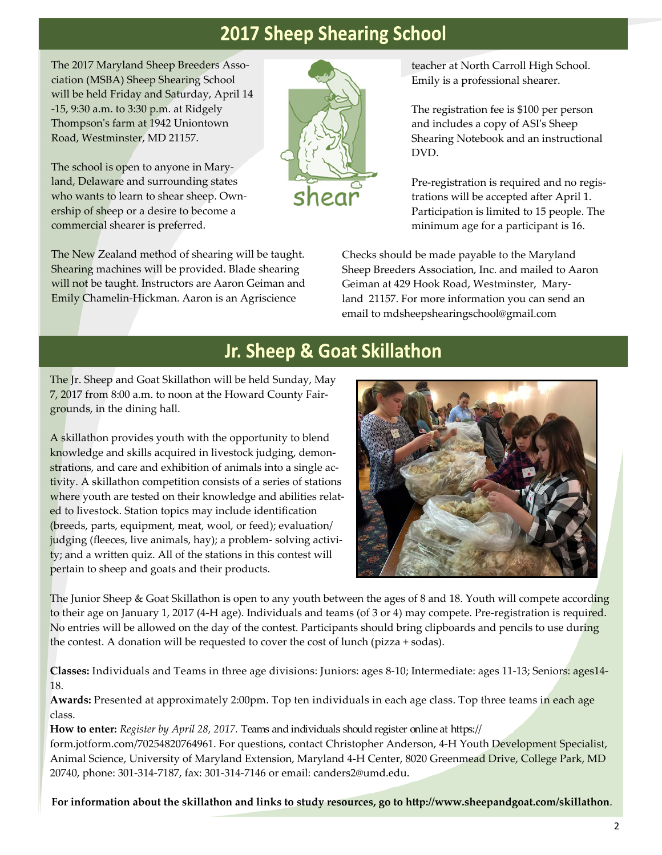## **2017 Sheep Shearing School**

hear

The 2017 Maryland Sheep Breeders Association (MSBA) Sheep Shearing School will be held Friday and Saturday, April 14 -15, 9:30 a.m. to 3:30 p.m. at Ridgely Thompsonʹs farm at 1942 Uniontown Road, Westminster, MD 21157.

The school is open to anyone in Maryland, Delaware and surrounding states who wants to learn to shear sheep. Ownership of sheep or a desire to become a commercial shearer is preferred.

The New Zealand method of shearing will be taught. Shearing machines will be provided. Blade shearing will not be taught. Instructors are Aaron Geiman and Emily Chamelin-Hickman. Aaron is an Agriscience

teacher at North Carroll High School. Emily is a professional shearer.

The registration fee is \$100 per person and includes a copy of ASIʹs Sheep Shearing Notebook and an instructional DVD.

Pre-registration is required and no registrations will be accepted after April 1. Participation is limited to 15 people. The minimum age for a participant is 16.

Checks should be made payable to the Maryland Sheep Breeders Association, Inc. and mailed to Aaron Geiman at 429 Hook Road, Westminster, Maryland 21157. For more information you can send an email to mdsheepshearingschool@gmail.com

## Jr. Sheep & Goat Skillathon

The Jr. Sheep and Goat Skillathon will be held Sunday, May 7, 2017 from 8:00 a.m. to noon at the Howard County Fairgrounds, in the dining hall.

A skillathon provides youth with the opportunity to blend knowledge and skills acquired in livestock judging, demonstrations, and care and exhibition of animals into a single activity. A skillathon competition consists of a series of stations where youth are tested on their knowledge and abilities related to livestock. Station topics may include identification (breeds, parts, equipment, meat, wool, or feed); evaluation/ judging (fleeces, live animals, hay); a problem- solving activity; and a written quiz. All of the stations in this contest will pertain to sheep and goats and their products.



The Junior Sheep & Goat Skillathon is open to any youth between the ages of 8 and 18. Youth will compete according to their age on January 1, 2017 (4-H age). Individuals and teams (of 3 or 4) may compete. Pre-registration is required. No entries will be allowed on the day of the contest. Participants should bring clipboards and pencils to use during the contest. A donation will be requested to cover the cost of lunch (pizza + sodas).

**Classes:** Individuals and Teams in three age divisions: Juniors: ages 8-10; Intermediate: ages 11-13; Seniors: ages14- 18.

**Awards:** Presented at approximately 2:00pm. Top ten individuals in each age class. Top three teams in each age class.

**How to enter:** *Register by April 28, 2017.* Teams and individuals should register online at https:// form.jotform.com/70254820764961. For questions, contact Christopher Anderson, 4-H Youth Development Specialist, Animal Science, University of Maryland Extension, Maryland 4-H Center, 8020 Greenmead Drive, College Park, MD 20740, phone: 301-314-7187, fax: 301-314-7146 or email: canders2@umd.edu.

**For information about the skillathon and links to study resources, go to http://www.sheepandgoat.com/skillathon**.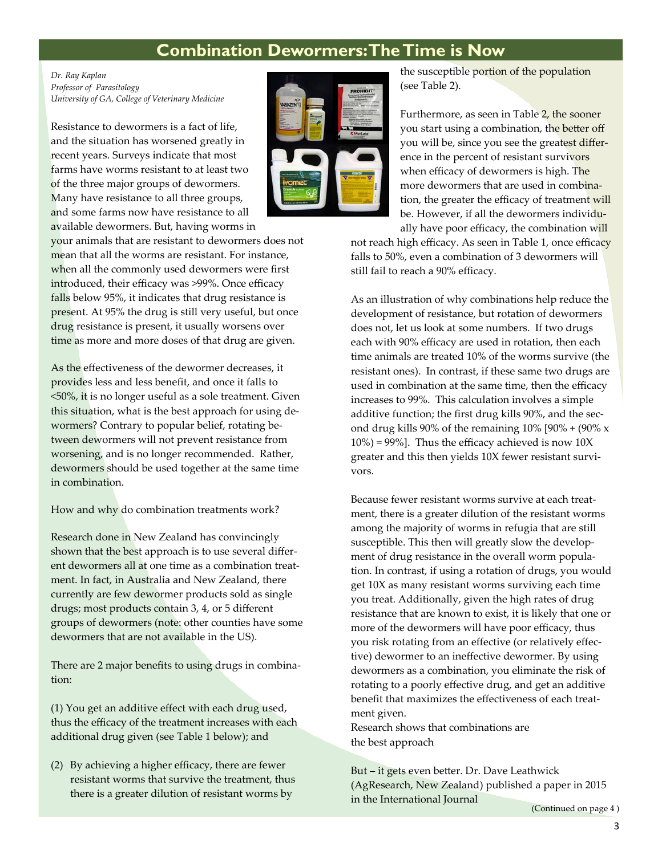### **Combination Dewormers: The Time is Now**

*Dr. Ray Kaplan Professor of Parasitology University of GA, College of Veterinary Medicine* 

Resistance to dewormers is a fact of life, and the situation has worsened greatly in recent years. Surveys indicate that most farms have worms resistant to at least two of the three major groups of dewormers. Many have resistance to all three groups, and some farms now have resistance to all available dewormers. But, having worms in

your animals that are resistant to dewormers does not mean that all the worms are resistant. For instance, when all the commonly used dewormers were first introduced, their efficacy was >99%. Once efficacy falls below 95%, it indicates that drug resistance is present. At 95% the drug is still very useful, but once drug resistance is present, it usually worsens over time as more and more doses of that drug are given.

As the effectiveness of the dewormer decreases, it provides less and less benefit, and once it falls to <50%, it is no longer useful as a sole treatment. Given this situation, what is the best approach for using dewormers? Contrary to popular belief, rotating between dewormers will not prevent resistance from worsening, and is no longer recommended. Rather, dewormers should be used together at the same time in combination.

How and why do combination treatments work?

Research done in New Zealand has convincingly shown that the best approach is to use several different dewormers all at one time as a combination treatment. In fact, in Australia and New Zealand, there currently are few dewormer products sold as single drugs; most products contain 3, 4, or 5 different groups of dewormers (note: other counties have some dewormers that are not available in the US).

There are 2 major benefits to using drugs in combination:

(1) You get an additive effect with each drug used, thus the efficacy of the treatment increases with each additional drug given (see Table 1 below); and

(2) By achieving a higher efficacy, there are fewer resistant worms that survive the treatment, thus there is a greater dilution of resistant worms by



the susceptible portion of the population (see Table 2).

Furthermore, as seen in Table 2, the sooner you start using a combination, the better off you will be, since you see the greatest difference in the percent of resistant survivors when efficacy of dewormers is high. The more dewormers that are used in combination, the greater the efficacy of treatment will be. However, if all the dewormers individually have poor efficacy, the combination will

not reach high efficacy. As seen in Table 1, once efficacy falls to 50%, even a combination of 3 dewormers will still fail to reach a 90% efficacy.

As an illustration of why combinations help reduce the development of resistance, but rotation of dewormers does not, let us look at some numbers. If two drugs each with 90% efficacy are used in rotation, then each time animals are treated 10% of the worms survive (the resistant ones). In contrast, if these same two drugs are used in combination at the same time, then the efficacy increases to 99%. This calculation involves a simple additive function; the first drug kills 90%, and the second drug kills 90% of the remaining  $10\%$  [90% + (90% x  $10\%$  = 99%]. Thus the efficacy achieved is now  $10X$ greater and this then yields 10X fewer resistant survivors.

Because fewer resistant worms survive at each treatment, there is a greater dilution of the resistant worms among the majority of worms in refugia that are still susceptible. This then will greatly slow the development of drug resistance in the overall worm population. In contrast, if using a rotation of drugs, you would get 10X as many resistant worms surviving each time you treat. Additionally, given the high rates of drug resistance that are known to exist, it is likely that one or more of the dewormers will have poor efficacy, thus you risk rotating from an effective (or relatively effective) dewormer to an ineffective dewormer. By using dewormers as a combination, you eliminate the risk of rotating to a poorly effective drug, and get an additive benefit that maximizes the effectiveness of each treatment given.

Research shows that combinations are the best approach

But – it gets even better. Dr. Dave Leathwick (AgResearch, New Zealand) published a paper in 2015 in the International Journal

(Continued on page 4 )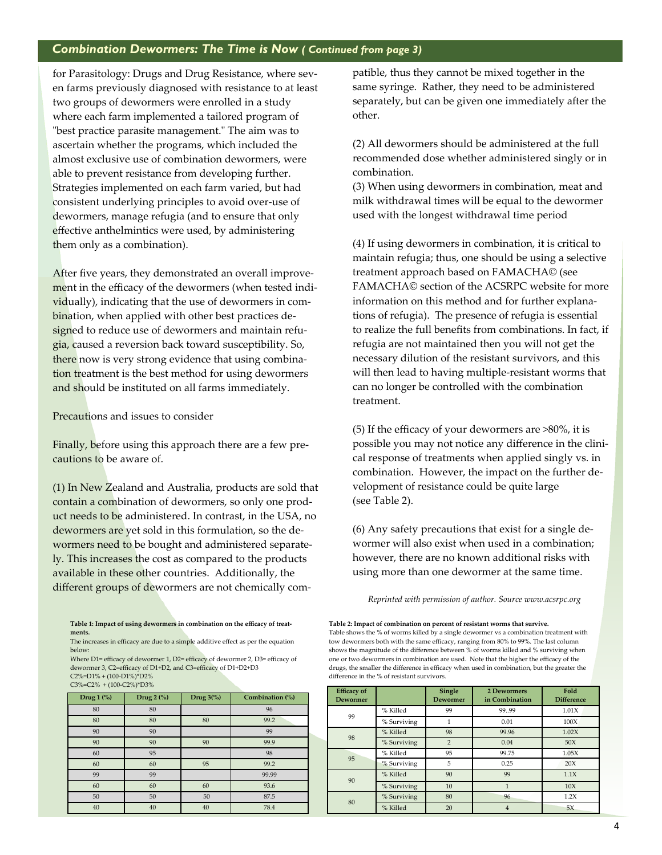### *Combination Dewormers: The Time is Now ( Continued from page 3)*

for Parasitology: Drugs and Drug Resistance, where seven farms previously diagnosed with resistance to at least two groups of dewormers were enrolled in a study where each farm implemented a tailored program of "best practice parasite management." The aim was to ascertain whether the programs, which included the almost exclusive use of combination dewormers, were able to prevent resistance from developing further. Strategies implemented on each farm varied, but had consistent underlying principles to avoid over-use of dewormers, manage refugia (and to ensure that only effective anthelmintics were used, by administering them only as a combination).

After five years, they demonstrated an overall improvement in the efficacy of the dewormers (when tested individually), indicating that the use of dewormers in combination, when applied with other best practices designed to reduce use of dewormers and maintain refugia, caused a reversion back toward susceptibility. So, there now is very strong evidence that using combination treatment is the best method for using dewormers and should be instituted on all farms immediately.

Precautions and issues to consider

Finally, before using this approach there are a few precautions to be aware of.

(1) In New Zealand and Australia, products are sold that contain a combination of dewormers, so only one product needs to be administered. In contrast, in the USA, no dewormers are yet sold in this formulation, so the dewormers need to be bought and administered separately. This increases the cost as compared to the products available in these other countries. Additionally, the different groups of dewormers are not chemically com-

**Table 1: Impact of using dewormers in combination on the efficacy of treatments.** 

The increases in efficacy are due to a simple additive effect as per the equation below:

Where D1= efficacy of dewormer 1, D2= efficacy of dewormer 2, D3= efficacy of dewormer 3, C2=efficacy of D1+D2, and C3=efficacy of D1+D2+D3 C2%=D1% + (100-D1%)\*D2%  $C3\% = C2\% + (100-C2\%)^*$ D3%

| Drug $1$ $\binom{0}{0}$ | Drug $2$ (%) | Drug $3\binom{0}{0}$ | Combination (%) |  |  |
|-------------------------|--------------|----------------------|-----------------|--|--|
| 80                      | 80           |                      | 96              |  |  |
| 80                      | 80           | 80                   | 99.2            |  |  |
| 90                      | 90           |                      | 99              |  |  |
| 90                      | 90           | 90                   | 99.9            |  |  |
| 60                      | 95           |                      | 98              |  |  |
| 60                      | 60           | 95                   | 99.2            |  |  |
| 99                      | 99           |                      | 99.99           |  |  |
| 60                      | 60           | 60                   | 93.6            |  |  |
| 50                      | 50           | 50                   | 87.5            |  |  |
| 40                      | 40           | 40                   | 78.4            |  |  |

patible, thus they cannot be mixed together in the same syringe. Rather, they need to be administered separately, but can be given one immediately after the other.

(2) All dewormers should be administered at the full recommended dose whether administered singly or in combination.

(3) When using dewormers in combination, meat and milk withdrawal times will be equal to the dewormer used with the longest withdrawal time period

(4) If using dewormers in combination, it is critical to maintain refugia; thus, one should be using a selective treatment approach based on FAMACHA© (see FAMACHA© section of the ACSRPC website for more information on this method and for further explanations of refugia). The presence of refugia is essential to realize the full benefits from combinations. In fact, if refugia are not maintained then you will not get the necessary dilution of the resistant survivors, and this will then lead to having multiple-resistant worms that can no longer be controlled with the combination treatment.

(5) If the efficacy of your dewormers are >80%, it is possible you may not notice any difference in the clinical response of treatments when applied singly vs. in combination. However, the impact on the further development of resistance could be quite large (see Table 2).

(6) Any safety precautions that exist for a single dewormer will also exist when used in a combination; however, there are no known additional risks with using more than one dewormer at the same time.

*Reprinted with permission of author. Source www.acsrpc.org* 

**Table 2: Impact of combination on percent of resistant worms that survive.**  Table shows the % of worms killed by a single dewormer vs a combination treatment with tow dewormers both with the same efficacy, ranging from 80% to 99%. The last column shows the magnitude of the difference between % of worms killed and % surviving when one or two dewormers in combination are used. Note that the higher the efficacy of the drugs, the smaller the difference in efficacy when used in combination, but the greater the difference in the % of resistant survivors.

| <b>Efficacy of</b><br><b>Dewormer</b> |             | Single<br><b>Dewormer</b> | <b>2 Dewormers</b><br>in Combination | Fold<br><b>Difference</b> |
|---------------------------------------|-------------|---------------------------|--------------------------------------|---------------------------|
| 99                                    | % Killed    | 99                        | 99.99                                | 1.01X                     |
|                                       | % Surviving |                           | 0.01                                 | 100X                      |
| 98                                    | % Killed    | 98                        | 99.96                                | 1.02X                     |
|                                       | % Surviving | $\overline{2}$            | 0.04                                 | 50X                       |
| 95                                    | % Killed    | 95                        | 99.75                                | 1.05X                     |
|                                       | % Surviving | 5                         | 0.25                                 | 20X                       |
| 90                                    | % Killed    | 90                        | 99                                   | 1.1X                      |
|                                       | % Surviving | 10                        |                                      | 10X                       |
| 80                                    | % Surviving | 80                        | 96                                   | 1.2X                      |
|                                       | % Killed    | 20                        | 4                                    | 5X                        |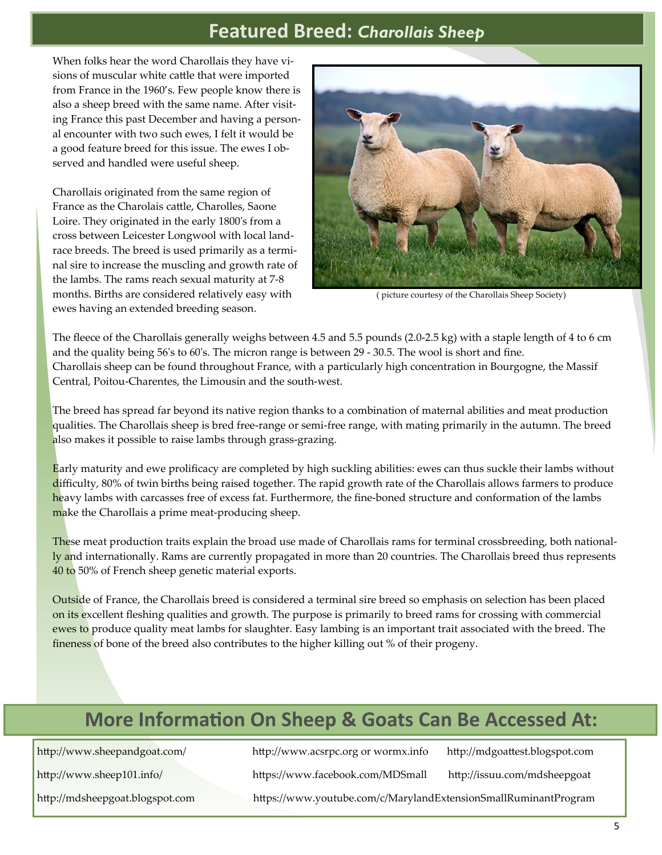## **Featured Breed:** *Charollais Sheep*

When folks hear the word Charollais they have visions of muscular white cattle that were imported from France in the 1960's. Few people know there is also a sheep breed with the same name. After visiting France this past December and having a personal encounter with two such ewes, I felt it would be a good feature breed for this issue. The ewes I observed and handled were useful sheep.

Charollais originated from the same region of France as the Charolais cattle, Charolles, Saone Loire. They originated in the early 1800ʹs from a cross between Leicester Longwool with local landrace breeds. The breed is used primarily as a terminal sire to increase the muscling and growth rate of the lambs. The rams reach sexual maturity at 7-8 months. Births are considered relatively easy with ewes having an extended breeding season.



( picture courtesy of the Charollais Sheep Society)

The fleece of the Charollais generally weighs between 4.5 and 5.5 pounds (2.0-2.5 kg) with a staple length of 4 to 6 cm and the quality being 56ʹs to 60ʹs. The micron range is between 29 - 30.5. The wool is short and fine. Charollais sheep can be found throughout France, with a particularly high concentration in Bourgogne, the Massif Central, Poitou-Charentes, the Limousin and the south-west.

The breed has spread far beyond its native region thanks to a combination of maternal abilities and meat production qualities. The Charollais sheep is bred free-range or semi-free range, with mating primarily in the autumn. The breed also makes it possible to raise lambs through grass-grazing.

Early maturity and ewe prolificacy are completed by high suckling abilities: ewes can thus suckle their lambs without difficulty, 80% of twin births being raised together. The rapid growth rate of the Charollais allows farmers to produce heavy lambs with carcasses free of excess fat. Furthermore, the fine-boned structure and conformation of the lambs make the Charollais a prime meat-producing sheep.

These meat production traits explain the broad use made of Charollais rams for terminal crossbreeding, both nationally and internationally. Rams are currently propagated in more than 20 countries. The Charollais breed thus represents 40 to 50% of French sheep genetic material exports.

Outside of France, the Charollais breed is considered a terminal sire breed so emphasis on selection has been placed on its excellent fleshing qualities and growth. The purpose is primarily to breed rams for crossing with commercial ewes to produce quality meat lambs for slaughter. Easy lambing is an important trait associated with the breed. The fineness of bone of the breed also contributes to the higher killing out % of their progeny.

## **More InformaƟon On Sheep & Goats Can Be Accessed At:**

http://www.sheepandgoat.com/ http://www.acsrpc.org or wormx.info http://mdgoattest.blogspot.com

http://www.sheep101.info/ https://www.facebook.com/MDSmall http://issuu.com/mdsheepgoat

http://mdsheepgoat.blogspot.com https://www.youtube.com/c/MarylandExtensionSmallRuminantProgram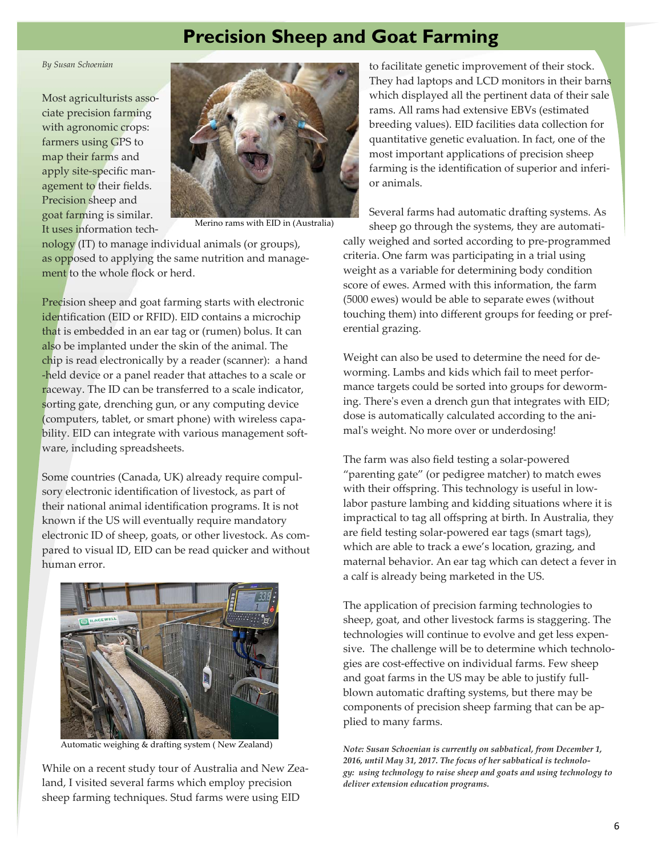## **Precision Sheep and Goat Farming**

#### *By Susan Schoenian*

Most agriculturists associate precision farming with agronomic crops: farmers using GPS to map their farms and apply site-specific management to their fields. Precision sheep and goat farming is similar. It uses information tech-



Merino rams with EID in (Australia)

nology (IT) to manage individual animals (or groups), as opposed to applying the same nutrition and management to the whole flock or herd.

Precision sheep and goat farming starts with electronic identification (EID or RFID). EID contains a microchip that is embedded in an ear tag or (rumen) bolus. It can also be implanted under the skin of the animal. The chip is read electronically by a reader (scanner): a hand -held device or a panel reader that attaches to a scale or raceway. The ID can be transferred to a scale indicator, sorting gate, drenching gun, or any computing device (computers, tablet, or smart phone) with wireless capability. EID can integrate with various management software, including spreadsheets.

Some countries (Canada, UK) already require compulsory electronic identification of livestock, as part of their national animal identification programs. It is not known if the US will eventually require mandatory electronic ID of sheep, goats, or other livestock. As compared to visual ID, EID can be read quicker and without human error.



Automatic weighing & drafting system ( New Zealand)

While on a recent study tour of Australia and New Zealand, I visited several farms which employ precision sheep farming techniques. Stud farms were using EID

to facilitate genetic improvement of their stock. They had laptops and LCD monitors in their barns which displayed all the pertinent data of their sale rams. All rams had extensive EBVs (estimated breeding values). EID facilities data collection for quantitative genetic evaluation. In fact, one of the most important applications of precision sheep farming is the identification of superior and inferior animals.

Several farms had automatic drafting systems. As sheep go through the systems, they are automati-

cally weighed and sorted according to pre-programmed criteria. One farm was participating in a trial using weight as a variable for determining body condition score of ewes. Armed with this information, the farm (5000 ewes) would be able to separate ewes (without touching them) into different groups for feeding or preferential grazing.

Weight can also be used to determine the need for deworming. Lambs and kids which fail to meet performance targets could be sorted into groups for deworming. There's even a drench gun that integrates with EID; dose is automatically calculated according to the animal's weight. No more over or underdosing!

The farm was also field testing a solar-powered "parenting gate" (or pedigree matcher) to match ewes with their offspring. This technology is useful in lowlabor pasture lambing and kidding situations where it is impractical to tag all offspring at birth. In Australia, they are field testing solar-powered ear tags (smart tags), which are able to track a ewe's location, grazing, and maternal behavior. An ear tag which can detect a fever in a calf is already being marketed in the US.

The application of precision farming technologies to sheep, goat, and other livestock farms is staggering. The technologies will continue to evolve and get less expensive. The challenge will be to determine which technologies are cost-effective on individual farms. Few sheep and goat farms in the US may be able to justify fullblown automatic drafting systems, but there may be components of precision sheep farming that can be applied to many farms.

*Note: Susan Schoenian is currently on sabbatical, from December 1, 2016, until May 31, 2017. The focus of her sabbatical is technology: using technology to raise sheep and goats and using technology to deliver extension education programs.*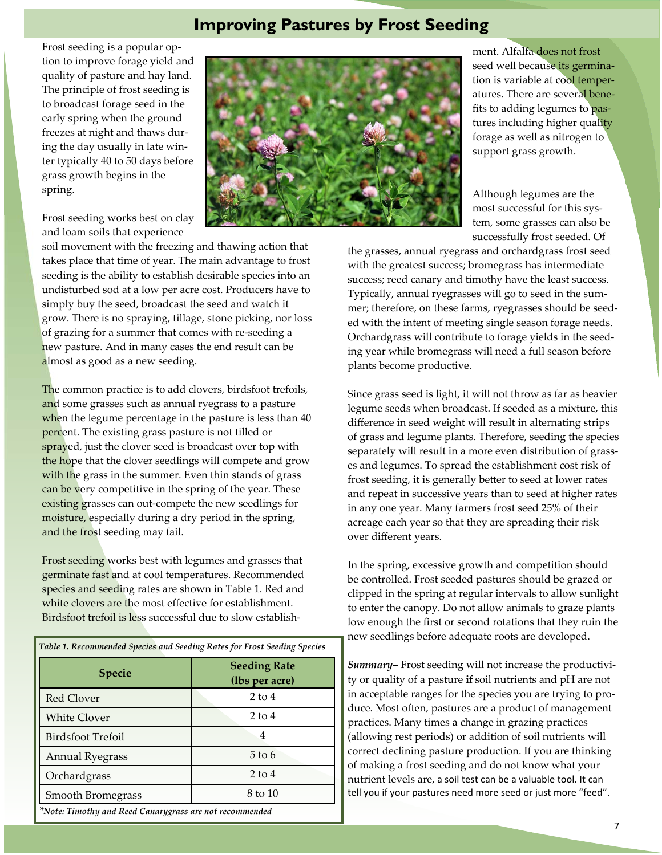### **Improving Pastures by Frost Seeding**

Frost seeding is a popular option to improve forage yield and quality of pasture and hay land. The principle of frost seeding is to broadcast forage seed in the early spring when the ground freezes at night and thaws during the day usually in late winter typically 40 to 50 days before grass growth begins in the spring.

Frost seeding works best on clay and loam soils that experience

soil movement with the freezing and thawing action that takes place that time of year. The main advantage to frost seeding is the ability to establish desirable species into an undisturbed sod at a low per acre cost. Producers have to simply buy the seed, broadcast the seed and watch it grow. There is no spraying, tillage, stone picking, nor loss of grazing for a summer that comes with re-seeding a new pasture. And in many cases the end result can be almost as good as a new seeding.

The common practice is to add clovers, birdsfoot trefoils, and some grasses such as annual ryegrass to a pasture when the legume percentage in the pasture is less than 40 percent. The existing grass pasture is not tilled or sprayed, just the clover seed is broadcast over top with the hope that the clover seedlings will compete and grow with the grass in the summer. Even thin stands of grass can be very competitive in the spring of the year. These existing grasses can out-compete the new seedlings for moisture, especially during a dry period in the spring, and the frost seeding may fail.

Frost seeding works best with legumes and grasses that germinate fast and at cool temperatures. Recommended species and seeding rates are shown in Table 1. Red and white clovers are the most effective for establishment. Birdsfoot trefoil is less successful due to slow establish-

| Table 1. Recommended Species and Seeding Rates for Frost Seeding Species |                                       |  |  |
|--------------------------------------------------------------------------|---------------------------------------|--|--|
| <b>Specie</b>                                                            | <b>Seeding Rate</b><br>(lbs per acre) |  |  |
| <b>Red Clover</b>                                                        | $2$ to 4                              |  |  |
| <b>White Clover</b>                                                      | $2$ to 4                              |  |  |
| Birdsfoot Trefoil                                                        | 4                                     |  |  |
| <b>Annual Ryegrass</b>                                                   | 5 to 6                                |  |  |
| Orchardgrass                                                             | $2$ to 4                              |  |  |
| <b>Smooth Bromegrass</b>                                                 | 8 to 10                               |  |  |
| *Note: Timothy and Reed Canarygrass are not recommended                  |                                       |  |  |



ment. Alfalfa does not frost seed well because its germination is variable at cool temperatures. There are several benefits to adding legumes to pastures including higher quality forage as well as nitrogen to support grass growth.

Although legumes are the most successful for this system, some grasses can also be successfully frost seeded. Of

the grasses, annual ryegrass and orchardgrass frost seed with the greatest success; bromegrass has intermediate success; reed canary and timothy have the least success. Typically, annual ryegrasses will go to seed in the summer; therefore, on these farms, ryegrasses should be seeded with the intent of meeting single season forage needs. Orchardgrass will contribute to forage yields in the seeding year while bromegrass will need a full season before plants become productive.

Since grass seed is light, it will not throw as far as heavier legume seeds when broadcast. If seeded as a mixture, this difference in seed weight will result in alternating strips of grass and legume plants. Therefore, seeding the species separately will result in a more even distribution of grasses and legumes. To spread the establishment cost risk of frost seeding, it is generally better to seed at lower rates and repeat in successive years than to seed at higher rates in any one year. Many farmers frost seed 25% of their acreage each year so that they are spreading their risk over different years.

In the spring, excessive growth and competition should be controlled. Frost seeded pastures should be grazed or clipped in the spring at regular intervals to allow sunlight to enter the canopy. Do not allow animals to graze plants low enough the first or second rotations that they ruin the new seedlings before adequate roots are developed.

*Summary*– Frost seeding will not increase the productivity or quality of a pasture **if** soil nutrients and pH are not in acceptable ranges for the species you are trying to produce. Most often, pastures are a product of management practices. Many times a change in grazing practices (allowing rest periods) or addition of soil nutrients will correct declining pasture production. If you are thinking of making a frost seeding and do not know what your nutrient levels are, a soil test can be a valuable tool. It can tell you if your pastures need more seed or just more "feed".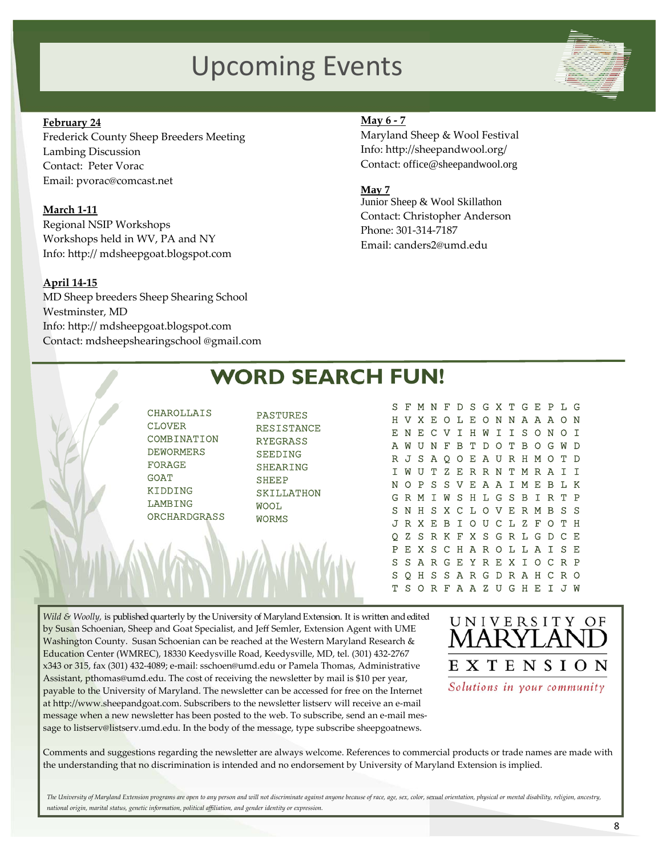# Upcoming Events

### **February 24**

Frederick County Sheep Breeders Meeting Lambing Discussion Contact: Peter Vorac Email: pvorac@comcast.net

#### **March 1-11**

Regional NSIP Workshops Workshops held in WV, PA and NY Info: http:// mdsheepgoat.blogspot.com

### **April 14-15**

MD Sheep breeders Sheep Shearing School Westminster, MD Info: http:// mdsheepgoat.blogspot.com Contact: mdsheepshearingschool @gmail.com

### **May 6 - 7**

Maryland Sheep & Wool Festival Info: http://sheepandwool.org/ Contact: office@sheepandwool.org

#### **May 7**

Junior Sheep & Wool Skillathon Contact: Christopher Anderson Phone: 301-314-7187 Email: canders2@umd.edu

#### S F M N F D S G X T G E P L G H V X E O L E O N N A A A O N E N E C V I H W I I S O N O I A W U N F B T D O T B O G W D R J S A Q O E A U R H M O T D I W U T Z E R R N T M R A I I N O P S S V E A A I M E B L K G R M I W S H L G S B I R T P S N H S X C L O V E R M B S S J R X E B I O U C L Z F O T H Q Z S R K F X S G R L G D C E P E X S C H A R O L L A I S E S S A R G E Y R E X I O C R P **WORD SEARCH FUN!**  CHAROLLAIS CLOVER COMBINATION DEWORMERS FORAGE GOAT KIDDING LAMBING **ORCHARDGRASS** PASTURES RESISTANCE RYEGRASS **SEEDING** SHEARING **SHEEP** SKILLATHON WOOL WORMS

*Wild & Woolly,* is published quarterly by the University of Maryland Extension. It is written and edited by Susan Schoenian, Sheep and Goat Specialist, and Jeff Semler, Extension Agent with UME Washington County. Susan Schoenian can be reached at the Western Maryland Research & Education Center (WMREC), 18330 Keedysville Road, Keedysville, MD, tel. (301) 432-2767 x343 or 315, fax (301) 432-4089; e-mail: sschoen@umd.edu or Pamela Thomas, Administrative Assistant, pthomas@umd.edu. The cost of receiving the newsletter by mail is \$10 per year, payable to the University of Maryland. The newsletter can be accessed for free on the Internet at http://www.sheepandgoat.com. Subscribers to the newsletter listserv will receive an e-mail message when a new newsletter has been posted to the web. To subscribe, send an e-mail message to listserv@listserv.umd.edu. In the body of the message, type subscribe sheepgoatnews.



S Q H S S A R G D R A H C R O T S O R F A A Z U G H E I J W

Comments and suggestions regarding the newsletter are always welcome. References to commercial products or trade names are made with the understanding that no discrimination is intended and no endorsement by University of Maryland Extension is implied.

*The University of Maryland Extension programs are open to any person and will not discriminate against anyone because of race, age, sex, color, sexual orientation, physical or mental disability, religion, ancestry, national origin, marital status, genetic information, political affiliation, and gender identity or expression.*